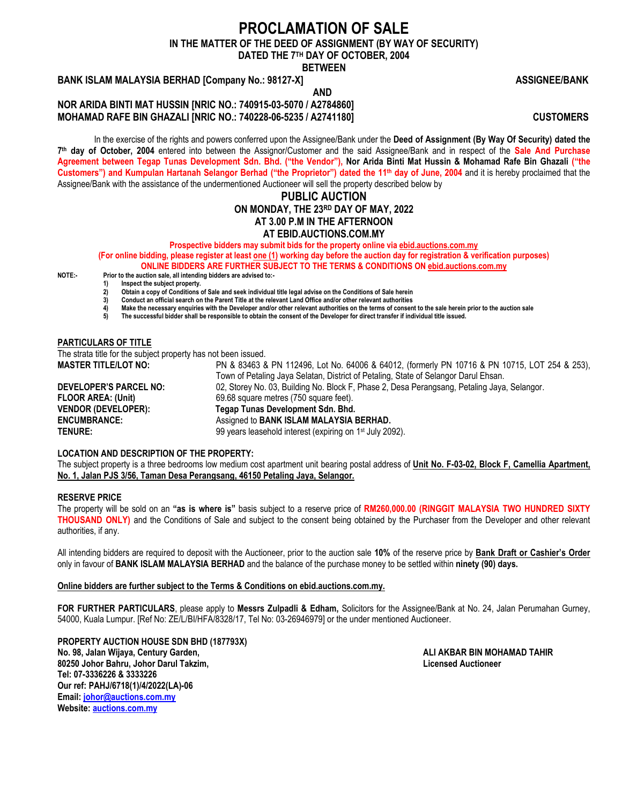## **PROCLAMATION OF SALE**

**IN THE MATTER OF THE DEED OF ASSIGNMENT (BY WAY OF SECURITY)**

**DATED THE 7 TH DAY OF OCTOBER, 2004**

**BETWEEN**

## **BANK ISLAM MALAYSIA BERHAD [Company No.: 98127-X] ASSIGNEE/BANK**

 **AND NOR ARIDA BINTI MAT HUSSIN [NRIC NO.: 740915-03-5070 / A2784860] MOHAMAD RAFE BIN GHAZALI [NRIC NO.: 740228-06-5235 / A2741180] CUSTOMERS**

In the exercise of the rights and powers conferred upon the Assignee/Bank under the **Deed of Assignment (By Way Of Security) dated the 7 th day of October, 2004** entered into between the Assignor/Customer and the said Assignee/Bank and in respect of the **Sale And Purchase Agreement between Tegap Tunas Development Sdn. Bhd. ("the Vendor"), Nor Arida Binti Mat Hussin & Mohamad Rafe Bin Ghazali ("the Customers") and Kumpulan Hartanah Selangor Berhad ("the Proprietor") dated the 11th day of June, 2004** and it is hereby proclaimed that the Assignee/Bank with the assistance of the undermentioned Auctioneer will sell the property described below by

## **PUBLIC AUCTION ON MONDAY, THE 23 RD DAY OF MAY, 2022 AT 3.00 P.M IN THE AFTERNOON AT EBID.AUCTIONS.COM.MY**

**Prospective bidders may submit bids for the property online via ebid.auctions.com.my**

**(For online bidding, please register at least one (1) working day before the auction day for registration & verification purposes) ONLINE BIDDERS ARE FURTHER SUBJECT TO THE TERMS & CONDITIONS ON [ebid.auctions.com.my](http://ebid.auctions.com.my/)**

**NOTE:- Prior to the auction sale, all intending bidders are advised to:- 1) Inspect the subject property.**

- **2) Obtain a copy of Conditions of Sale and seek individual title legal advise on the Conditions of Sale herein**
- **3) Conduct an official search on the Parent Title at the relevant Land Office and/or other relevant authorities 4) Make the necessary enquiries with the Developer and/or other relevant authorities on the terms of consent to the sale herein prior to the auction sale**
- **5) The successful bidder shall be responsible to obtain the consent of the Developer for direct transfer if individual title issued.**

## **PARTICULARS OF TITLE**

The strata title for the subject property has not been issued. **MASTER TITLE/LOT NO:** PN & 83463 & PN 112496, Lot No. 64006 & 64012, (formerly PN 10716 & PN 10715, LOT 254 & 253), Town of Petaling Jaya Selatan, District of Petaling, State of Selangor Darul Ehsan. **DEVELOPER'S PARCEL NO:** 02, Storey No. 03, Building No. Block F, Phase 2, Desa Perangsang, Petaling Jaya, Selangor. **FLOOR AREA: (Unit)** 69.68 square metres (750 square feet). **VENDOR (DEVELOPER): Tegap Tunas Development Sdn. Bhd. ENCUMBRANCE:** Assigned to **BANK ISLAM MALAYSIA BERHAD. TENURE:** 99 years leasehold interest (expiring on 1<sup>st</sup> July 2092).

#### **LOCATION AND DESCRIPTION OF THE PROPERTY:**

The subject property is a three bedrooms low medium cost apartment unit bearing postal address of **Unit No. F-03-02, Block F, Camellia Apartment, No. 1, Jalan PJS 3/56, Taman Desa Perangsang, 46150 Petaling Jaya, Selangor.**

## **RESERVE PRICE**

The property will be sold on an **"as is where is"** basis subject to a reserve price of **RM260,000.00 (RINGGIT MALAYSIA TWO HUNDRED SIXTY THOUSAND ONLY)** and the Conditions of Sale and subject to the consent being obtained by the Purchaser from the Developer and other relevant authorities, if any.

All intending bidders are required to deposit with the Auctioneer, prior to the auction sale **10%** of the reserve price by **Bank Draft or Cashier's Order** only in favour of **BANK ISLAM MALAYSIA BERHAD** and the balance of the purchase money to be settled within **ninety (90) days.**

## **Online bidders are further subject to the Terms & Conditions on ebid.auctions.com.my.**

**FOR FURTHER PARTICULARS**, please apply to **Messrs Zulpadli & Edham,** Solicitors for the Assignee/Bank at No. 24, Jalan Perumahan Gurney, 54000, Kuala Lumpur. [Ref No: ZE/L/BI/HFA/8328/17, Tel No: 03-26946979] or the under mentioned Auctioneer.

**PROPERTY AUCTION HOUSE SDN BHD (187793X) No. 98, Jalan Wijaya, Century Garden, ALI AKBAR BIN MOHAMAD TAHIR 80250 Johor Bahru, Johor Darul Takzim, Licensed Auctioneer Tel: 07-3336226 & 3333226 Our ref: PAHJ/6718(1)/4/2022(LA)-06 Email: [johor@auctions.com.my](mailto:johor@auctions.com.my) Website[: auctions.com.my](http://www.auctions.com.my/)**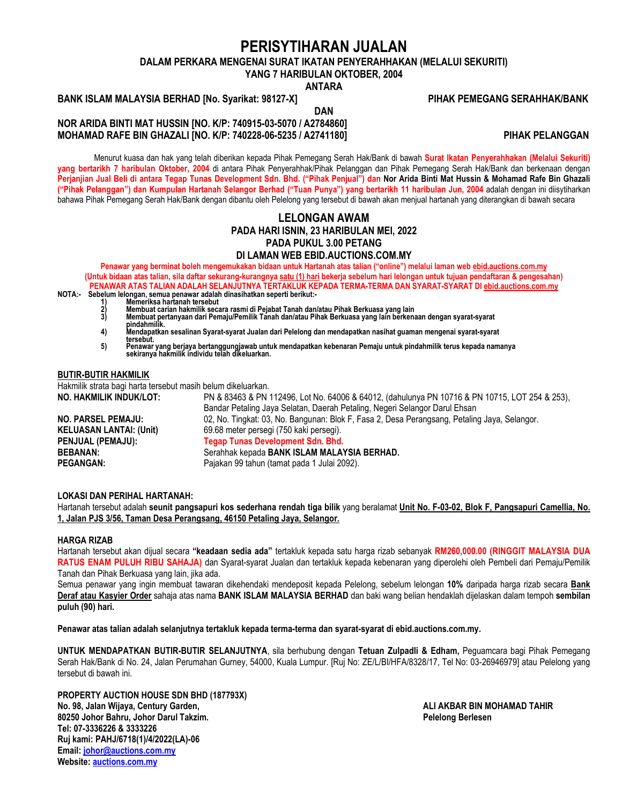## **PERISYTIHARAN JUALAN**

**DALAM PERKARA MENGENAI SURAT IKATAN PENYERAHHAKAN (MELALUI SEKURITI)**

**YANG 7 HARIBULAN OKTOBER, 2004**

**ANTARA**

**DAN**

**BANK ISLAM MALAYSIA BERHAD [No. Syarikat: 98127-X] PIHAK PEMEGANG SERAHHAK/BANK**

**NOR ARIDA BINTI MAT HUSSIN [NO. K/P: 740915-03-5070 / A2784860] MOHAMAD RAFE BIN GHAZALI [NO. K/P: 740228-06-5235 / A2741180] PIHAK PELANGGAN** 

Menurut kuasa dan hak yang telah diberikan kepada Pihak Pemegang Serah Hak/Bank di bawah **Surat Ikatan Penyerahhakan (Melalui Sekuriti) yang bertarikh 7 haribulan Oktober, 2004** di antara Pihak Penyerahhak/Pihak Pelanggan dan Pihak Pemegang Serah Hak/Bank dan berkenaan dengan **Perjanjian Jual Beli di antara Tegap Tunas Development Sdn. Bhd. ("Pihak Penjual") dan Nor Arida Binti Mat Hussin & Mohamad Rafe Bin Ghazali ("Pihak Pelanggan") dan Kumpulan Hartanah Selangor Berhad ("Tuan Punya") yang bertarikh 11 haribulan Jun, 2004** adalah dengan ini diisytiharkan bahawa Pihak Pemegang Serah Hak/Bank dengan dibantu oleh Pelelong yang tersebut di bawah akan menjual hartanah yang diterangkan di bawah secara

## **LELONGAN AWAM PADA HARI ISNIN, 23 HARIBULAN MEI, 2022 PADA PUKUL 3.00 PETANG**

**DI LAMAN WEB EBID.AUCTIONS.COM.MY**

**Penawar yang berminat boleh mengemukakan bidaan untuk Hartanah atas talian ("online") melalui laman web ebid.auctions.com.my (Untuk bidaan atas talian, sila daftar sekurang-kurangnya satu (1) hari bekerja sebelum hari lelongan untuk tujuan pendaftaran & pengesahan) PENAWAR ATAS TALIAN ADALAH SELANJUTNYA TERTAKLUK KEPADA TERMA-TERMA DAN SYARAT-SYARAT DI [ebid.auctions.com.my](http://ebid.auctions.com.my/)**

- **1) Memeriksa hartanah tersebut**
- **NOTA:- Sebelum lelongan, semua penawar adalah dinasihatkan seperti berikut:-**
	- 2) Membuat carian hakmilik secara rasmi di Pejabat Tanah dan/atau Pihak Berkuasa yang lain<br>3) Membuat pertanyaan dari Pemaju/Pemilik Tanah dan/atau Pihak Berkuasa yang lain berkenaan dengan syarat-syarat **pindahmilik. 4) Mendapatkan sesalinan Syarat-syarat Jualan dari Pelelong dan mendapatkan nasihat guaman mengenai syarat-syarat**
	- **tersebut. 5) Penawar yang berjaya bertanggungjawab untuk mendapatkan kebenaran Pemaju untuk pindahmilik terus kepada namanya sekiranya hakmilik individu telah dikeluarkan.**

#### **BUTIR-BUTIR HAKMILIK**

Hakmilik strata bagi harta tersebut masih belum dikeluarkan.

**NO. HAKMILIK INDUK/LOT:** PN & 83463 & PN 112496, Lot No. 64006 & 64012, (dahulunya PN 10716 & PN 10715, LOT 254 & 253), Bandar Petaling Jaya Selatan, Daerah Petaling, Negeri Selangor Darul Ehsan **NO. PARSEL PEMAJU:** 02, No. Tingkat: 03, No. Bangunan: Blok F, Fasa 2, Desa Perangsang, Petaling Jaya, Selangor. **KELUASAN LANTAI: (Unit)** 69.68 meter persegi (750 kaki persegi). **PENJUAL (PEMAJU): Tegap Tunas Development Sdn. Bhd. BEBANAN:** Serahhak kepada **BANK ISLAM MALAYSIA BERHAD.** PEGANGAN: PEGANGAN: Pajakan 99 tahun (tamat pada 1 Julai 2092).

## **LOKASI DAN PERIHAL HARTANAH:**

Hartanah tersebut adalah **seunit pangsapuri kos sederhana rendah tiga bilik** yang beralamat **Unit No. F-03-02, Blok F, Pangsapuri Camellia, No. 1, Jalan PJS 3/56, Taman Desa Perangsang, 46150 Petaling Jaya, Selangor.**

#### **HARGA RIZAB**

Hartanah tersebut akan dijual secara **"keadaan sedia ada"** tertakluk kepada satu harga rizab sebanyak **RM260,000.00 (RINGGIT MALAYSIA DUA RATUS ENAM PULUH RIBU SAHAJA)** dan Syarat-syarat Jualan dan tertakluk kepada kebenaran yang diperolehi oleh Pembeli dari Pemaju/Pemilik Tanah dan Pihak Berkuasa yang lain, jika ada.

Semua penawar yang ingin membuat tawaran dikehendaki mendeposit kepada Pelelong, sebelum lelongan **10%** daripada harga rizab secara **Bank Deraf atau Kasyier Order** sahaja atas nama **BANK ISLAM MALAYSIA BERHAD** dan baki wang belian hendaklah dijelaskan dalam tempoh **sembilan puluh (90) hari.**

**Penawar atas talian adalah selanjutnya tertakluk kepada terma-terma dan syarat-syarat di ebid.auctions.com.my.**

**UNTUK MENDAPATKAN BUTIR-BUTIR SELANJUTNYA**, sila berhubung dengan **Tetuan Zulpadli & Edham,** Peguamcara bagi Pihak Pemegang Serah Hak/Bank di No. 24, Jalan Perumahan Gurney, 54000, Kuala Lumpur. [Ruj No: ZE/L/BI/HFA/8328/17, Tel No: 03-26946979] atau Pelelong yang tersebut di bawah ini.

**PROPERTY AUCTION HOUSE SDN BHD (187793X) No. 98, Jalan Wijaya, Century Garden, ALI AKBAR BIN MOHAMAD TAHIR 80250 Johor Bahru, Johor Darul Takzim. Pelelong Berlesen Tel: 07-3336226 & 3333226 Ruj kami: PAHJ/6718(1)/4/2022(LA)-06 Email: [johor@auctions.com.my](mailto:johor@auctions.com.my) Website[: auctions.com.my](http://www.auctions.com.my/)**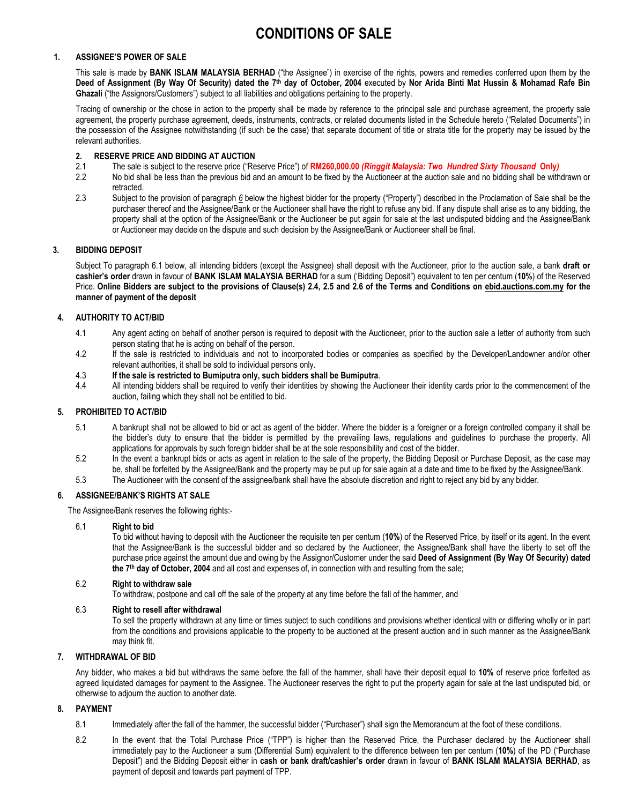# **CONDITIONS OF SALE**

## **1. ASSIGNEE'S POWER OF SALE**

This sale is made by **BANK ISLAM MALAYSIA BERHAD** ("the Assignee") in exercise of the rights, powers and remedies conferred upon them by the **Deed of Assignment (By Way Of Security) dated the 7 th day of October, 2004** executed by **Nor Arida Binti Mat Hussin & Mohamad Rafe Bin Ghazali** ("the Assignors/Customers") subject to all liabilities and obligations pertaining to the property.

Tracing of ownership or the chose in action to the property shall be made by reference to the principal sale and purchase agreement, the property sale agreement, the property purchase agreement, deeds, instruments, contracts, or related documents listed in the Schedule hereto ("Related Documents") in the possession of the Assignee notwithstanding (if such be the case) that separate document of title or strata title for the property may be issued by the relevant authorities.

# **2. RESERVE PRICE AND BIDDING AT AUCTION**

- 2.1 The sale is subject to the reserve price ("Reserve Price") of **RM260,000.00** *(Ringgit Malaysia: Two Hundred Sixty Thousand* **Only***)*
- 2.2 No bid shall be less than the previous bid and an amount to be fixed by the Auctioneer at the auction sale and no bidding shall be withdrawn or retracted.
- 2.3 Subject to the provision of paragraph *6* below the highest bidder for the property ("Property") described in the Proclamation of Sale shall be the purchaser thereof and the Assignee/Bank or the Auctioneer shall have the right to refuse any bid. If any dispute shall arise as to any bidding, the property shall at the option of the Assignee/Bank or the Auctioneer be put again for sale at the last undisputed bidding and the Assignee/Bank or Auctioneer may decide on the dispute and such decision by the Assignee/Bank or Auctioneer shall be final.

## **3. BIDDING DEPOSIT**

Subject To paragraph 6.1 below, all intending bidders (except the Assignee) shall deposit with the Auctioneer, prior to the auction sale, a bank **draft or cashier's order** drawn in favour of **BANK ISLAM MALAYSIA BERHAD** for a sum ('Bidding Deposit") equivalent to ten per centum (**10%**) of the Reserved Price. **Online Bidders are subject to the provisions of Clause(s) 2.4, 2.5 and 2.6 of the Terms and Conditions on ebid.auctions.com.my for the manner of payment of the deposit**

## **4. AUTHORITY TO ACT/BID**

- 4.1 Any agent acting on behalf of another person is required to deposit with the Auctioneer, prior to the auction sale a letter of authority from such person stating that he is acting on behalf of the person.
- 4.2 If the sale is restricted to individuals and not to incorporated bodies or companies as specified by the Developer/Landowner and/or other relevant authorities, it shall be sold to individual persons only.

#### 4.3 **If the sale is restricted to Bumiputra only, such bidders shall be Bumiputra**.

4.4 All intending bidders shall be required to verify their identities by showing the Auctioneer their identity cards prior to the commencement of the auction, failing which they shall not be entitled to bid.

## **5. PROHIBITED TO ACT/BID**

- 5.1 A bankrupt shall not be allowed to bid or act as agent of the bidder. Where the bidder is a foreigner or a foreign controlled company it shall be the bidder's duty to ensure that the bidder is permitted by the prevailing laws, regulations and guidelines to purchase the property. All applications for approvals by such foreign bidder shall be at the sole responsibility and cost of the bidder.
- 5.2 In the event a bankrupt bids or acts as agent in relation to the sale of the property, the Bidding Deposit or Purchase Deposit, as the case may be, shall be forfeited by the Assignee/Bank and the property may be put up for sale again at a date and time to be fixed by the Assignee/Bank.
- 5.3 The Auctioneer with the consent of the assignee/bank shall have the absolute discretion and right to reject any bid by any bidder.

## **6. ASSIGNEE/BANK'S RIGHTS AT SALE**

The Assignee/Bank reserves the following rights:-

#### 6.1 **Right to bid**

To bid without having to deposit with the Auctioneer the requisite ten per centum (**10%**) of the Reserved Price, by itself or its agent. In the event that the Assignee/Bank is the successful bidder and so declared by the Auctioneer, the Assignee/Bank shall have the liberty to set off the purchase price against the amount due and owing by the Assignor/Customer under the said **Deed of Assignment (By Way Of Security) dated the 7 th day of October, 2004** and all cost and expenses of, in connection with and resulting from the sale;

#### 6.2 **Right to withdraw sale**

To withdraw, postpone and call off the sale of the property at any time before the fall of the hammer, and

## 6.3 **Right to resell after withdrawal**

To sell the property withdrawn at any time or times subject to such conditions and provisions whether identical with or differing wholly or in part from the conditions and provisions applicable to the property to be auctioned at the present auction and in such manner as the Assignee/Bank may think fit.

## **7. WITHDRAWAL OF BID**

Any bidder, who makes a bid but withdraws the same before the fall of the hammer, shall have their deposit equal to **10%** of reserve price forfeited as agreed liquidated damages for payment to the Assignee. The Auctioneer reserves the right to put the property again for sale at the last undisputed bid, or otherwise to adjourn the auction to another date.

## **8. PAYMENT**

- 8.1 Immediately after the fall of the hammer, the successful bidder ("Purchaser") shall sign the Memorandum at the foot of these conditions.
- 8.2 In the event that the Total Purchase Price ("TPP") is higher than the Reserved Price, the Purchaser declared by the Auctioneer shall immediately pay to the Auctioneer a sum (Differential Sum) equivalent to the difference between ten per centum (**10%**) of the PD ("Purchase Deposit") and the Bidding Deposit either in **cash or bank draft/cashier's order** drawn in favour of **BANK ISLAM MALAYSIA BERHAD**, as payment of deposit and towards part payment of TPP.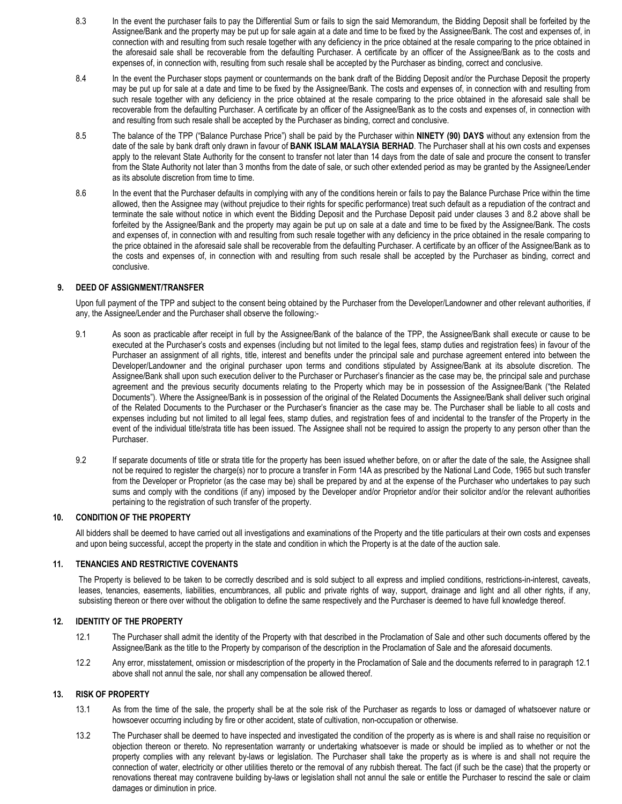- 8.3 In the event the purchaser fails to pay the Differential Sum or fails to sign the said Memorandum, the Bidding Deposit shall be forfeited by the Assignee/Bank and the property may be put up for sale again at a date and time to be fixed by the Assignee/Bank. The cost and expenses of, in connection with and resulting from such resale together with any deficiency in the price obtained at the resale comparing to the price obtained in the aforesaid sale shall be recoverable from the defaulting Purchaser. A certificate by an officer of the Assignee/Bank as to the costs and expenses of, in connection with, resulting from such resale shall be accepted by the Purchaser as binding, correct and conclusive.
- 8.4 In the event the Purchaser stops payment or countermands on the bank draft of the Bidding Deposit and/or the Purchase Deposit the property may be put up for sale at a date and time to be fixed by the Assignee/Bank. The costs and expenses of, in connection with and resulting from such resale together with any deficiency in the price obtained at the resale comparing to the price obtained in the aforesaid sale shall be recoverable from the defaulting Purchaser. A certificate by an officer of the Assignee/Bank as to the costs and expenses of, in connection with and resulting from such resale shall be accepted by the Purchaser as binding, correct and conclusive.
- 8.5 The balance of the TPP ("Balance Purchase Price") shall be paid by the Purchaser within **NINETY (90) DAYS** without any extension from the date of the sale by bank draft only drawn in favour of **BANK ISLAM MALAYSIA BERHAD**. The Purchaser shall at his own costs and expenses apply to the relevant State Authority for the consent to transfer not later than 14 days from the date of sale and procure the consent to transfer from the State Authority not later than 3 months from the date of sale, or such other extended period as may be granted by the Assignee/Lender as its absolute discretion from time to time.
- 8.6 In the event that the Purchaser defaults in complying with any of the conditions herein or fails to pay the Balance Purchase Price within the time allowed, then the Assignee may (without prejudice to their rights for specific performance) treat such default as a repudiation of the contract and terminate the sale without notice in which event the Bidding Deposit and the Purchase Deposit paid under clauses 3 and 8.2 above shall be forfeited by the Assignee/Bank and the property may again be put up on sale at a date and time to be fixed by the Assignee/Bank. The costs and expenses of, in connection with and resulting from such resale together with any deficiency in the price obtained in the resale comparing to the price obtained in the aforesaid sale shall be recoverable from the defaulting Purchaser. A certificate by an officer of the Assignee/Bank as to the costs and expenses of, in connection with and resulting from such resale shall be accepted by the Purchaser as binding, correct and conclusive.

## **9. DEED OF ASSIGNMENT/TRANSFER**

Upon full payment of the TPP and subject to the consent being obtained by the Purchaser from the Developer/Landowner and other relevant authorities, if any, the Assignee/Lender and the Purchaser shall observe the following:-

- 9.1 As soon as practicable after receipt in full by the Assignee/Bank of the balance of the TPP, the Assignee/Bank shall execute or cause to be executed at the Purchaser's costs and expenses (including but not limited to the legal fees, stamp duties and registration fees) in favour of the Purchaser an assignment of all rights, title, interest and benefits under the principal sale and purchase agreement entered into between the Developer/Landowner and the original purchaser upon terms and conditions stipulated by Assignee/Bank at its absolute discretion. The Assignee/Bank shall upon such execution deliver to the Purchaser or Purchaser's financier as the case may be, the principal sale and purchase agreement and the previous security documents relating to the Property which may be in possession of the Assignee/Bank ("the Related Documents"). Where the Assignee/Bank is in possession of the original of the Related Documents the Assignee/Bank shall deliver such original of the Related Documents to the Purchaser or the Purchaser's financier as the case may be. The Purchaser shall be liable to all costs and expenses including but not limited to all legal fees, stamp duties, and registration fees of and incidental to the transfer of the Property in the event of the individual title/strata title has been issued. The Assignee shall not be required to assign the property to any person other than the Purchaser.
- 9.2 If separate documents of title or strata title for the property has been issued whether before, on or after the date of the sale, the Assignee shall not be required to register the charge(s) nor to procure a transfer in Form 14A as prescribed by the National Land Code, 1965 but such transfer from the Developer or Proprietor (as the case may be) shall be prepared by and at the expense of the Purchaser who undertakes to pay such sums and comply with the conditions (if any) imposed by the Developer and/or Proprietor and/or their solicitor and/or the relevant authorities pertaining to the registration of such transfer of the property.

## **10. CONDITION OF THE PROPERTY**

All bidders shall be deemed to have carried out all investigations and examinations of the Property and the title particulars at their own costs and expenses and upon being successful, accept the property in the state and condition in which the Property is at the date of the auction sale.

#### **11***.* **TENANCIES AND RESTRICTIVE COVENANTS**

The Property is believed to be taken to be correctly described and is sold subject to all express and implied conditions, restrictions-in-interest, caveats, leases, tenancies, easements, liabilities, encumbrances, all public and private rights of way, support, drainage and light and all other rights, if any, subsisting thereon or there over without the obligation to define the same respectively and the Purchaser is deemed to have full knowledge thereof.

#### **12***.* **IDENTITY OF THE PROPERTY**

- 12.1 The Purchaser shall admit the identity of the Property with that described in the Proclamation of Sale and other such documents offered by the Assignee/Bank as the title to the Property by comparison of the description in the Proclamation of Sale and the aforesaid documents.
- 12.2 Any error, misstatement, omission or misdescription of the property in the Proclamation of Sale and the documents referred to in paragraph 12.1 above shall not annul the sale, nor shall any compensation be allowed thereof.

## **13. RISK OF PROPERTY**

- 13.1 As from the time of the sale, the property shall be at the sole risk of the Purchaser as regards to loss or damaged of whatsoever nature or howsoever occurring including by fire or other accident, state of cultivation, non-occupation or otherwise.
- 13.2 The Purchaser shall be deemed to have inspected and investigated the condition of the property as is where is and shall raise no requisition or objection thereon or thereto. No representation warranty or undertaking whatsoever is made or should be implied as to whether or not the property complies with any relevant by-laws or legislation. The Purchaser shall take the property as is where is and shall not require the connection of water, electricity or other utilities thereto or the removal of any rubbish thereat. The fact (if such be the case) that the property or renovations thereat may contravene building by-laws or legislation shall not annul the sale or entitle the Purchaser to rescind the sale or claim damages or diminution in price.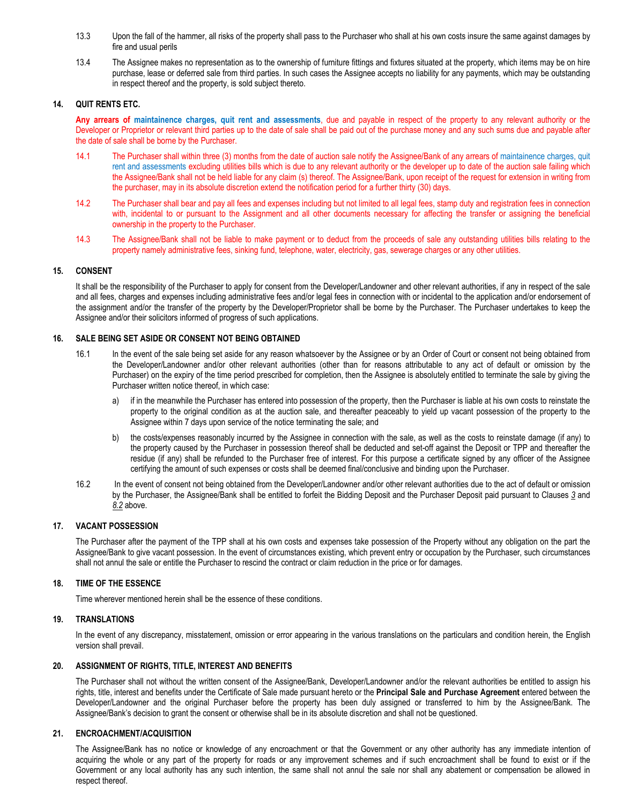- 13.3 Upon the fall of the hammer, all risks of the property shall pass to the Purchaser who shall at his own costs insure the same against damages by fire and usual perils
- 13.4 The Assignee makes no representation as to the ownership of furniture fittings and fixtures situated at the property, which items may be on hire purchase, lease or deferred sale from third parties. In such cases the Assignee accepts no liability for any payments, which may be outstanding in respect thereof and the property, is sold subject thereto.

#### **14. QUIT RENTS ETC.**

**Any arrears of maintainence charges, quit rent and assessments**, due and payable in respect of the property to any relevant authority or the Developer or Proprietor or relevant third parties up to the date of sale shall be paid out of the purchase money and any such sums due and payable after the date of sale shall be borne by the Purchaser.

- 14.1 The Purchaser shall within three (3) months from the date of auction sale notify the Assignee/Bank of any arrears of maintainence charges, quit rent and assessments excluding utilities bills which is due to any relevant authority or the developer up to date of the auction sale failing which the Assignee/Bank shall not be held liable for any claim (s) thereof. The Assignee/Bank, upon receipt of the request for extension in writing from the purchaser, may in its absolute discretion extend the notification period for a further thirty (30) days.
- 14.2 The Purchaser shall bear and pay all fees and expenses including but not limited to all legal fees, stamp duty and registration fees in connection with, incidental to or pursuant to the Assignment and all other documents necessary for affecting the transfer or assigning the beneficial ownership in the property to the Purchaser.
- 14.3 The Assignee/Bank shall not be liable to make payment or to deduct from the proceeds of sale any outstanding utilities bills relating to the property namely administrative fees, sinking fund, telephone, water, electricity, gas, sewerage charges or any other utilities.

#### **15. CONSENT**

It shall be the responsibility of the Purchaser to apply for consent from the Developer/Landowner and other relevant authorities, if any in respect of the sale and all fees, charges and expenses including administrative fees and/or legal fees in connection with or incidental to the application and/or endorsement of the assignment and/or the transfer of the property by the Developer/Proprietor shall be borne by the Purchaser. The Purchaser undertakes to keep the Assignee and/or their solicitors informed of progress of such applications.

#### **16. SALE BEING SET ASIDE OR CONSENT NOT BEING OBTAINED**

- 16.1 In the event of the sale being set aside for any reason whatsoever by the Assignee or by an Order of Court or consent not being obtained from the Developer/Landowner and/or other relevant authorities (other than for reasons attributable to any act of default or omission by the Purchaser) on the expiry of the time period prescribed for completion, then the Assignee is absolutely entitled to terminate the sale by giving the Purchaser written notice thereof, in which case:
	- a) if in the meanwhile the Purchaser has entered into possession of the property, then the Purchaser is liable at his own costs to reinstate the property to the original condition as at the auction sale, and thereafter peaceably to yield up vacant possession of the property to the Assignee within 7 days upon service of the notice terminating the sale; and
	- b) the costs/expenses reasonably incurred by the Assignee in connection with the sale, as well as the costs to reinstate damage (if any) to the property caused by the Purchaser in possession thereof shall be deducted and set-off against the Deposit or TPP and thereafter the residue (if any) shall be refunded to the Purchaser free of interest. For this purpose a certificate signed by any officer of the Assignee certifying the amount of such expenses or costs shall be deemed final/conclusive and binding upon the Purchaser.
- 16.2 In the event of consent not being obtained from the Developer/Landowner and/or other relevant authorities due to the act of default or omission by the Purchaser, the Assignee/Bank shall be entitled to forfeit the Bidding Deposit and the Purchaser Deposit paid pursuant to Clauses *3* and *8.2* above.

## **17. VACANT POSSESSION**

The Purchaser after the payment of the TPP shall at his own costs and expenses take possession of the Property without any obligation on the part the Assignee/Bank to give vacant possession. In the event of circumstances existing, which prevent entry or occupation by the Purchaser, such circumstances shall not annul the sale or entitle the Purchaser to rescind the contract or claim reduction in the price or for damages.

## **18. TIME OF THE ESSENCE**

Time wherever mentioned herein shall be the essence of these conditions.

#### **19. TRANSLATIONS**

In the event of any discrepancy, misstatement, omission or error appearing in the various translations on the particulars and condition herein, the English version shall prevail.

#### **20. ASSIGNMENT OF RIGHTS, TITLE, INTEREST AND BENEFITS**

The Purchaser shall not without the written consent of the Assignee/Bank, Developer/Landowner and/or the relevant authorities be entitled to assign his rights, title, interest and benefits under the Certificate of Sale made pursuant hereto or the **Principal Sale and Purchase Agreement** entered between the Developer/Landowner and the original Purchaser before the property has been duly assigned or transferred to him by the Assignee/Bank. The Assignee/Bank's decision to grant the consent or otherwise shall be in its absolute discretion and shall not be questioned.

#### **21. ENCROACHMENT/ACQUISITION**

The Assignee/Bank has no notice or knowledge of any encroachment or that the Government or any other authority has any immediate intention of acquiring the whole or any part of the property for roads or any improvement schemes and if such encroachment shall be found to exist or if the Government or any local authority has any such intention, the same shall not annul the sale nor shall any abatement or compensation be allowed in respect thereof.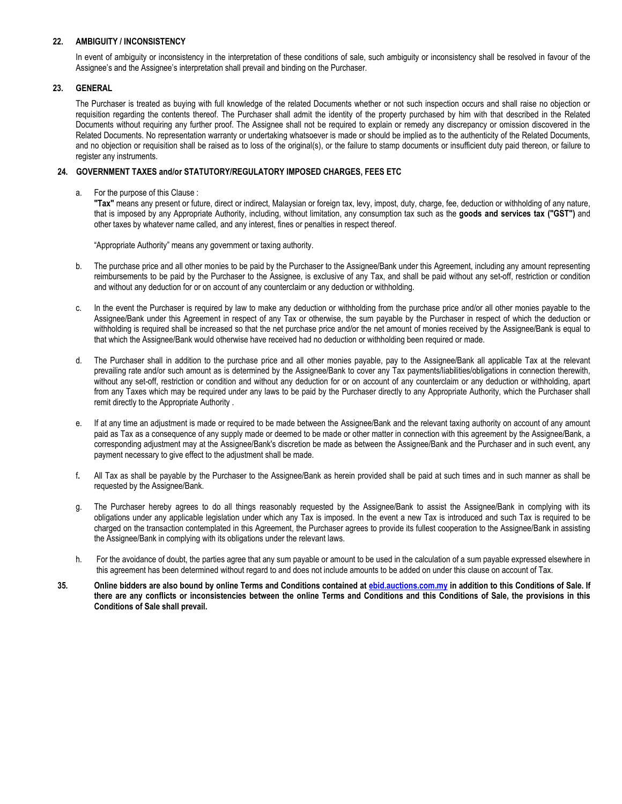### **22. AMBIGUITY / INCONSISTENCY**

In event of ambiguity or inconsistency in the interpretation of these conditions of sale, such ambiguity or inconsistency shall be resolved in favour of the Assignee's and the Assignee's interpretation shall prevail and binding on the Purchaser.

#### **23. GENERAL**

The Purchaser is treated as buying with full knowledge of the related Documents whether or not such inspection occurs and shall raise no objection or requisition regarding the contents thereof. The Purchaser shall admit the identity of the property purchased by him with that described in the Related Documents without requiring any further proof. The Assignee shall not be required to explain or remedy any discrepancy or omission discovered in the Related Documents. No representation warranty or undertaking whatsoever is made or should be implied as to the authenticity of the Related Documents, and no objection or requisition shall be raised as to loss of the original(s), or the failure to stamp documents or insufficient duty paid thereon, or failure to register any instruments.

#### **24. GOVERNMENT TAXES and/or STATUTORY/REGULATORY IMPOSED CHARGES, FEES ETC**

a. For the purpose of this Clause :

**"Tax"** means any present or future, direct or indirect, Malaysian or foreign tax, levy, impost, duty, charge, fee, deduction or withholding of any nature, that is imposed by any Appropriate Authority, including, without limitation, any consumption tax such as the **goods and services tax ("GST")** and other taxes by whatever name called, and any interest, fines or penalties in respect thereof.

"Appropriate Authority" means any government or taxing authority.

- b. The purchase price and all other monies to be paid by the Purchaser to the Assignee/Bank under this Agreement, including any amount representing reimbursements to be paid by the Purchaser to the Assignee, is exclusive of any Tax, and shall be paid without any set-off, restriction or condition and without any deduction for or on account of any counterclaim or any deduction or withholding.
- c. In the event the Purchaser is required by law to make any deduction or withholding from the purchase price and/or all other monies payable to the Assignee/Bank under this Agreement in respect of any Tax or otherwise, the sum payable by the Purchaser in respect of which the deduction or withholding is required shall be increased so that the net purchase price and/or the net amount of monies received by the Assignee/Bank is equal to that which the Assignee/Bank would otherwise have received had no deduction or withholding been required or made.
- d. The Purchaser shall in addition to the purchase price and all other monies payable, pay to the Assignee/Bank all applicable Tax at the relevant prevailing rate and/or such amount as is determined by the Assignee/Bank to cover any Tax payments/liabilities/obligations in connection therewith, without any set-off, restriction or condition and without any deduction for or on account of any counterclaim or any deduction or withholding, apart from any Taxes which may be required under any laws to be paid by the Purchaser directly to any Appropriate Authority, which the Purchaser shall remit directly to the Appropriate Authority .
- e. If at any time an adjustment is made or required to be made between the Assignee/Bank and the relevant taxing authority on account of any amount paid as Tax as a consequence of any supply made or deemed to be made or other matter in connection with this agreement by the Assignee/Bank, a corresponding adjustment may at the Assignee/Bank's discretion be made as between the Assignee/Bank and the Purchaser and in such event, any payment necessary to give effect to the adjustment shall be made.
- f**.** All Tax as shall be payable by the Purchaser to the Assignee/Bank as herein provided shall be paid at such times and in such manner as shall be requested by the Assignee/Bank.
- g. The Purchaser hereby agrees to do all things reasonably requested by the Assignee/Bank to assist the Assignee/Bank in complying with its obligations under any applicable legislation under which any Tax is imposed. In the event a new Tax is introduced and such Tax is required to be charged on the transaction contemplated in this Agreement, the Purchaser agrees to provide its fullest cooperation to the Assignee/Bank in assisting the Assignee/Bank in complying with its obligations under the relevant laws.
- h. For the avoidance of doubt, the parties agree that any sum payable or amount to be used in the calculation of a sum payable expressed elsewhere in this agreement has been determined without regard to and does not include amounts to be added on under this clause on account of Tax.
- **35. Online bidders are also bound by online Terms and Conditions contained a[t ebid.auctions.com.my](http://www.ebid.auctions.com.my/) in addition to this Conditions of Sale. If there are any conflicts or inconsistencies between the online Terms and Conditions and this Conditions of Sale, the provisions in this Conditions of Sale shall prevail.**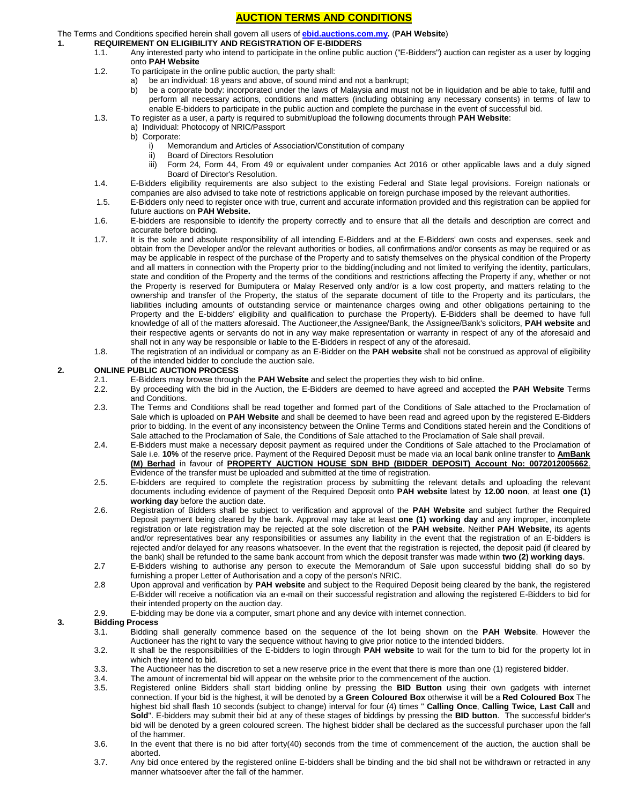## **AUCTION TERMS AND CONDITIONS**

## The Terms and Conditions specified herein shall govern all users of **[ebid.auctions.com.my.](http://www.auctions.com.my/)** (**PAH Website**)

## **1. REQUIREMENT ON ELIGIBILITY AND REGISTRATION OF E-BIDDERS**

- 1.1. Any interested party who intend to participate in the online public auction ("E-Bidders") auction can register as a user by logging onto **PAH Website**
- 1.2. To participate in the online public auction, the party shall:
	- a) be an individual: 18 years and above, of sound mind and not a bankrupt;
	- b) be a corporate body: incorporated under the laws of Malaysia and must not be in liquidation and be able to take, fulfil and perform all necessary actions, conditions and matters (including obtaining any necessary consents) in terms of law to enable E-bidders to participate in the public auction and complete the purchase in the event of successful bid.
- 1.3. To register as a user, a party is required to submit/upload the following documents through **PAH Website**:
	- a) Individual: Photocopy of NRIC/Passport
		- b) Corporate:
			- i) Memorandum and Articles of Association/Constitution of company
			- ii) Board of Directors Resolution
			- iii) Form 24, Form 44, From 49 or equivalent under companies Act 2016 or other applicable laws and a duly signed Board of Director's Resolution.
- 1.4. E-Bidders eligibility requirements are also subject to the existing Federal and State legal provisions. Foreign nationals or companies are also advised to take note of restrictions applicable on foreign purchase imposed by the relevant authorities.
- 1.5. E-Bidders only need to register once with true, current and accurate information provided and this registration can be applied for future auctions on **PAH Website.**
- 1.6. E-bidders are responsible to identify the property correctly and to ensure that all the details and description are correct and accurate before bidding.
- 1.7. It is the sole and absolute responsibility of all intending E-Bidders and at the E-Bidders' own costs and expenses, seek and obtain from the Developer and/or the relevant authorities or bodies, all confirmations and/or consents as may be required or as may be applicable in respect of the purchase of the Property and to satisfy themselves on the physical condition of the Property and all matters in connection with the Property prior to the bidding(including and not limited to verifying the identity, particulars, state and condition of the Property and the terms of the conditions and restrictions affecting the Property if any, whether or not the Property is reserved for Bumiputera or Malay Reserved only and/or is a low cost property, and matters relating to the ownership and transfer of the Property, the status of the separate document of title to the Property and its particulars, the liabilities including amounts of outstanding service or maintenance charges owing and other obligations pertaining to the Property and the E-bidders' eligibility and qualification to purchase the Property). E-Bidders shall be deemed to have full knowledge of all of the matters aforesaid. The Auctioneer,the Assignee/Bank, the Assignee/Bank's solicitors, **PAH website** and their respective agents or servants do not in any way make representation or warranty in respect of any of the aforesaid and shall not in any way be responsible or liable to the E-Bidders in respect of any of the aforesaid.
- 1.8. The registration of an individual or company as an E-Bidder on the **PAH website** shall not be construed as approval of eligibility of the intended bidder to conclude the auction sale.

#### **2. ONLINE PUBLIC AUCTION PROCESS**

- 2.1. E-Bidders may browse through the **PAH Website** and select the properties they wish to bid online.
- 2.2. By proceeding with the bid in the Auction, the E-Bidders are deemed to have agreed and accepted the **PAH Website** Terms and Conditions.
- 2.3. The Terms and Conditions shall be read together and formed part of the Conditions of Sale attached to the Proclamation of Sale which is uploaded on **PAH Website** and shall be deemed to have been read and agreed upon by the registered E-Bidders prior to bidding. In the event of any inconsistency between the Online Terms and Conditions stated herein and the Conditions of Sale attached to the Proclamation of Sale, the Conditions of Sale attached to the Proclamation of Sale shall prevail.
- 2.4. E-Bidders must make a necessary deposit payment as required under the Conditions of Sale attached to the Proclamation of Sale i.e. **10%** of the reserve price. Payment of the Required Deposit must be made via an local bank online transfer to **AmBank (M) Berhad** in favour of **PROPERTY AUCTION HOUSE SDN BHD (BIDDER DEPOSIT) Account No: 0072012005662**. Evidence of the transfer must be uploaded and submitted at the time of registration.
- 2.5. E-bidders are required to complete the registration process by submitting the relevant details and uploading the relevant documents including evidence of payment of the Required Deposit onto **PAH website** latest by **12.00 noon**, at least **one (1) working day** before the auction date.
- 2.6. Registration of Bidders shall be subject to verification and approval of the **PAH Website** and subject further the Required Deposit payment being cleared by the bank. Approval may take at least **one (1) working day** and any improper, incomplete registration or late registration may be rejected at the sole discretion of the **PAH website**. Neither **PAH Website**, its agents and/or representatives bear any responsibilities or assumes any liability in the event that the registration of an E-bidders is rejected and/or delayed for any reasons whatsoever. In the event that the registration is rejected, the deposit paid (if cleared by the bank) shall be refunded to the same bank account from which the deposit transfer was made within **two (2) working days**.
- 2.7 E-Bidders wishing to authorise any person to execute the Memorandum of Sale upon successful bidding shall do so by furnishing a proper Letter of Authorisation and a copy of the person's NRIC.
- 2.8 Upon approval and verification by **PAH website** and subject to the Required Deposit being cleared by the bank, the registered E-Bidder will receive a notification via an e-mail on their successful registration and allowing the registered E-Bidders to bid for their intended property on the auction day.
- 2.9. E-bidding may be done via a computer, smart phone and any device with internet connection.

#### **3. Bidding Process**

- 3.1. Bidding shall generally commence based on the sequence of the lot being shown on the **PAH Website**. However the Auctioneer has the right to vary the sequence without having to give prior notice to the intended bidders.
- 3.2. It shall be the responsibilities of the E-bidders to login through **PAH website** to wait for the turn to bid for the property lot in which they intend to bid.
- 3.3. The Auctioneer has the discretion to set a new reserve price in the event that there is more than one (1) registered bidder.
- 3.4. The amount of incremental bid will appear on the website prior to the commencement of the auction.
- 3.5. Registered online Bidders shall start bidding online by pressing the **BID Button** using their own gadgets with internet connection. If your bid is the highest, it will be denoted by a **Green Coloured Box** otherwise it will be a **Red Coloured Box** The highest bid shall flash 10 seconds (subject to change) interval for four (4) times " **Calling Once**, **Calling Twice, Last Call** and **Sold**". E-bidders may submit their bid at any of these stages of biddings by pressing the **BID button**. The successful bidder's bid will be denoted by a green coloured screen. The highest bidder shall be declared as the successful purchaser upon the fall of the hammer.
- 3.6. In the event that there is no bid after forty(40) seconds from the time of commencement of the auction, the auction shall be aborted.
- 3.7. Any bid once entered by the registered online E-bidders shall be binding and the bid shall not be withdrawn or retracted in any manner whatsoever after the fall of the hammer.